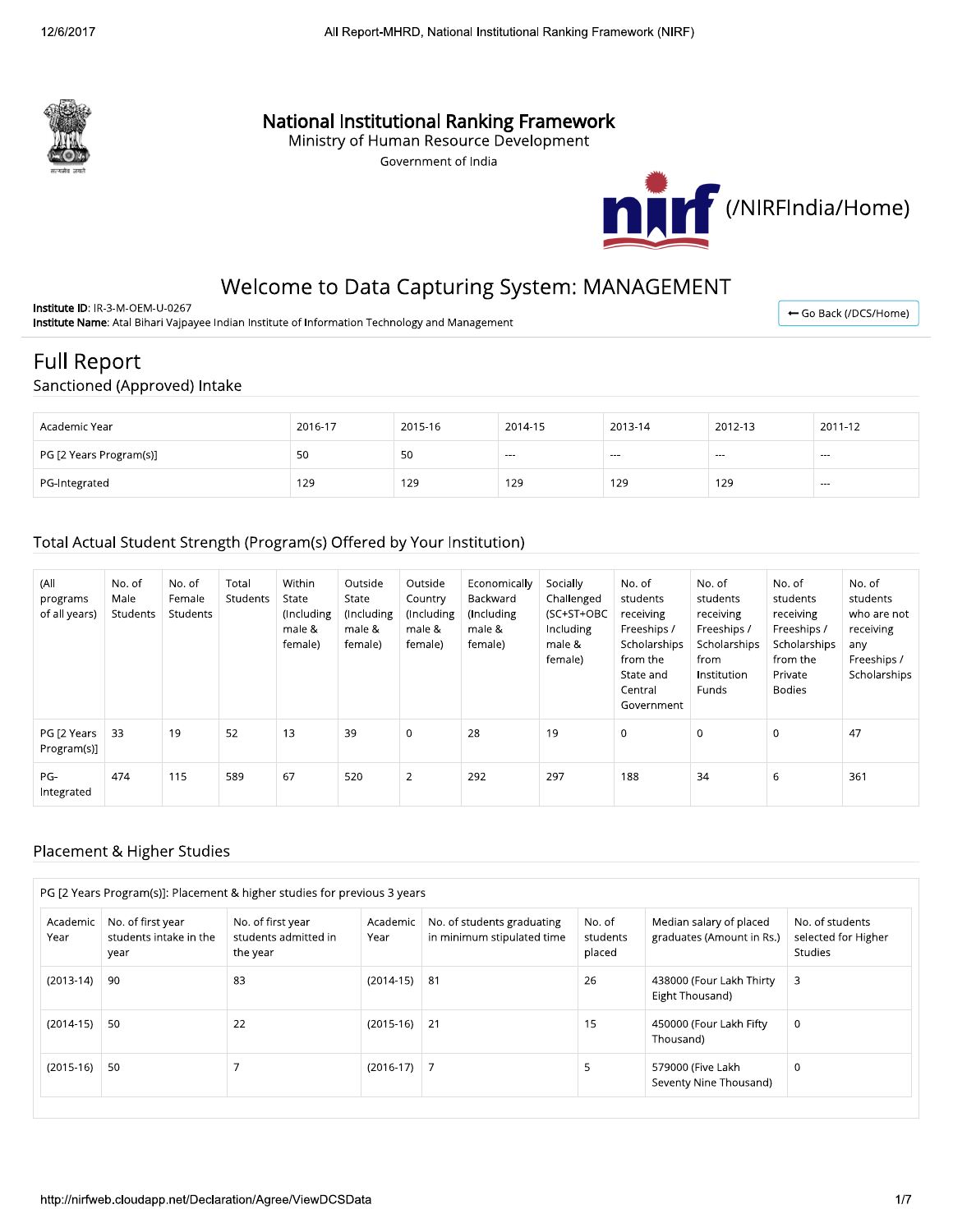

## **National Institutional Ranking Framework**

Ministry of Human Resource Development

Government of India



# Welcome to Data Capturing System: MANAGEMENT

Institute ID: IR-3-M-OEM-U-0267 Institute Name: Atal Bihari Vajpayee Indian Institute of Information Technology and Management

← Go Back (/DCS/Home)

# **Full Report**

### Sanctioned (Approved) Intake

| Academic Year           | 2016-17 | 2015-16 | 2014-15 | 2013-14 | 2012-13 | 2011-12 |
|-------------------------|---------|---------|---------|---------|---------|---------|
| PG [2 Years Program(s)] | 50      | 50      | $--$    | $- - -$ | $--$    | $- - -$ |
| PG-Integrated           | 129     | 129     | 129     | 129     | 129     | $--$    |

#### Total Actual Student Strength (Program(s) Offered by Your Institution)

| (All<br>programs<br>of all years) | No. of<br>Male<br>Students | No. of<br>Female<br>Students | Total<br>Students | Within<br>State<br>(Including<br>male &<br>female) | Outside<br>State<br>(Including<br>male &<br>female) | Outside<br>Country<br>(Including<br>male &<br>female) | Economically<br>Backward<br>(Including<br>male &<br>female) | Socially<br>Challenged<br>(SC+ST+OBC<br>Including<br>male &<br>female) | No. of<br>students<br>receiving<br>Freeships /<br>Scholarships<br>from the<br>State and<br>Central<br>Government | No. of<br>students<br>receiving<br>Freeships /<br>Scholarships<br>from<br>Institution<br><b>Funds</b> | No. of<br>students<br>receiving<br>Freeships /<br>Scholarships<br>from the<br>Private<br><b>Bodies</b> | No. of<br>students<br>who are not<br>receiving<br>any<br>Freeships /<br>Scholarships |
|-----------------------------------|----------------------------|------------------------------|-------------------|----------------------------------------------------|-----------------------------------------------------|-------------------------------------------------------|-------------------------------------------------------------|------------------------------------------------------------------------|------------------------------------------------------------------------------------------------------------------|-------------------------------------------------------------------------------------------------------|--------------------------------------------------------------------------------------------------------|--------------------------------------------------------------------------------------|
| PG [2 Years<br>Program(s)]        | 33                         | 19                           | 52                | 13                                                 | 39                                                  | $\mathbf 0$                                           | 28                                                          | 19                                                                     | $\Omega$                                                                                                         | $\mathbf 0$                                                                                           | $\Omega$                                                                                               | 47                                                                                   |
| PG-<br>Integrated                 | 474                        | 115                          | 589               | 67                                                 | 520                                                 | $\overline{2}$                                        | 292                                                         | 297                                                                    | 188                                                                                                              | 34                                                                                                    | 6                                                                                                      | 361                                                                                  |

#### Placement & Higher Studies

|                  |                                                     | PG [2 Years Program(s)]: Placement & higher studies for previous 3 years |                  |                                                          |                              |                                                      |                                                          |
|------------------|-----------------------------------------------------|--------------------------------------------------------------------------|------------------|----------------------------------------------------------|------------------------------|------------------------------------------------------|----------------------------------------------------------|
| Academic<br>Year | No. of first year<br>students intake in the<br>year | No. of first year<br>students admitted in<br>the year                    | Academic<br>Year | No. of students graduating<br>in minimum stipulated time | No. of<br>students<br>placed | Median salary of placed<br>graduates (Amount in Rs.) | No. of students<br>selected for Higher<br><b>Studies</b> |
| $(2013-14)$      | 90                                                  | 83                                                                       | $(2014-15)$      | 81                                                       | 26                           | 438000 (Four Lakh Thirty<br>Eight Thousand)          | 3                                                        |
| $(2014-15)$      | -50                                                 | 22                                                                       | $(2015-16)$      | 21                                                       | 15                           | 450000 (Four Lakh Fifty<br>Thousand)                 | 0                                                        |
| $(2015-16)$      | -50                                                 |                                                                          | $(2016-17)$ 7    |                                                          | 5                            | 579000 (Five Lakh<br>Seventy Nine Thousand)          | 0                                                        |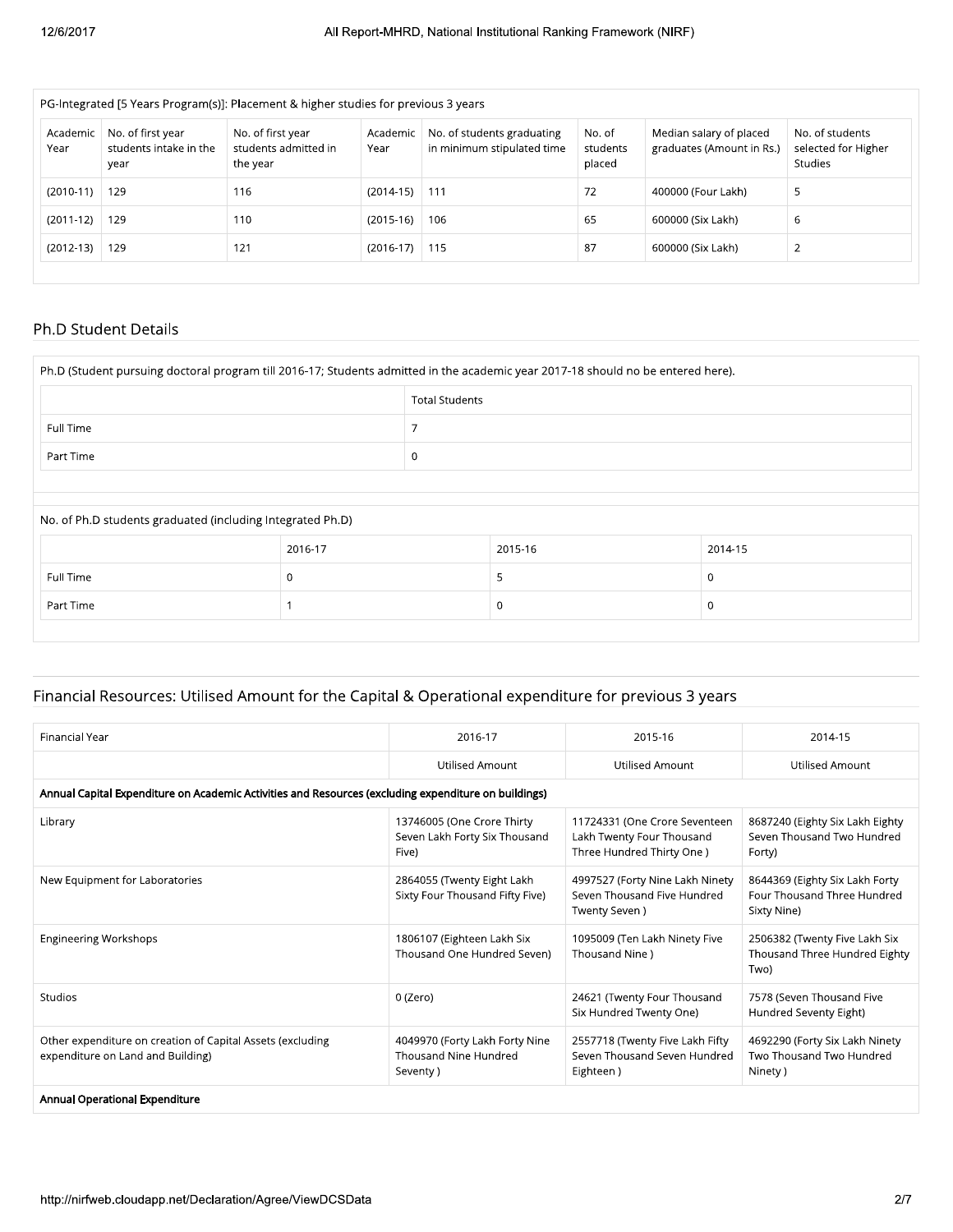| PG-Integrated [5 Years Program(s)]: Placement & higher studies for previous 3 years |                                                     |                                                       |                  |                                                          |                              |                                                      |                                                          |  |  |  |  |
|-------------------------------------------------------------------------------------|-----------------------------------------------------|-------------------------------------------------------|------------------|----------------------------------------------------------|------------------------------|------------------------------------------------------|----------------------------------------------------------|--|--|--|--|
| Academic<br>Year                                                                    | No. of first year<br>students intake in the<br>year | No. of first year<br>students admitted in<br>the year | Academic<br>Year | No. of students graduating<br>in minimum stipulated time | No. of<br>students<br>placed | Median salary of placed<br>graduates (Amount in Rs.) | No. of students<br>selected for Higher<br><b>Studies</b> |  |  |  |  |
| $(2010-11)$                                                                         | 129                                                 | 116                                                   | $(2014-15)$      | 111                                                      | 72                           | 400000 (Four Lakh)                                   | 5                                                        |  |  |  |  |
| $(2011-12)$                                                                         | 129                                                 | 110                                                   | $(2015-16)$      | 106                                                      | 65                           | 600000 (Six Lakh)                                    | 6                                                        |  |  |  |  |
| $(2012-13)$                                                                         | 129                                                 | 121                                                   | $(2016-17)$      | 115                                                      | 87                           | 600000 (Six Lakh)                                    | $\overline{2}$                                           |  |  |  |  |

#### Ph.D Student Details

|                                                            | Ph.D (Student pursuing doctoral program till 2016-17; Students admitted in the academic year 2017-18 should no be entered here). |                       |         |          |  |
|------------------------------------------------------------|----------------------------------------------------------------------------------------------------------------------------------|-----------------------|---------|----------|--|
|                                                            |                                                                                                                                  | <b>Total Students</b> |         |          |  |
| Full Time                                                  |                                                                                                                                  |                       |         |          |  |
| Part Time                                                  |                                                                                                                                  | $\mathbf 0$           |         |          |  |
|                                                            |                                                                                                                                  |                       |         |          |  |
| No. of Ph.D students graduated (including Integrated Ph.D) |                                                                                                                                  |                       |         |          |  |
|                                                            | 2016-17                                                                                                                          |                       | 2015-16 | 2014-15  |  |
| Full Time                                                  | $\Omega$                                                                                                                         |                       | 5       |          |  |
| Part Time                                                  |                                                                                                                                  |                       |         | $\Omega$ |  |
|                                                            |                                                                                                                                  |                       |         |          |  |

# Financial Resources: Utilised Amount for the Capital & Operational expenditure for previous 3 years

| 2016-17<br><b>Utilised Amount</b><br>Annual Capital Expenditure on Academic Activities and Resources (excluding expenditure on buildings) | 2015-16<br><b>Utilised Amount</b>                                                       | 2014-15<br><b>Utilised Amount</b>                                            |
|-------------------------------------------------------------------------------------------------------------------------------------------|-----------------------------------------------------------------------------------------|------------------------------------------------------------------------------|
|                                                                                                                                           |                                                                                         |                                                                              |
|                                                                                                                                           |                                                                                         |                                                                              |
|                                                                                                                                           |                                                                                         |                                                                              |
| 13746005 (One Crore Thirty<br>Seven Lakh Forty Six Thousand<br>Five)                                                                      | 11724331 (One Crore Seventeen<br>Lakh Twenty Four Thousand<br>Three Hundred Thirty One) | 8687240 (Eighty Six Lakh Eighty<br>Seven Thousand Two Hundred<br>Forty)      |
| 2864055 (Twenty Eight Lakh<br>Sixty Four Thousand Fifty Five)                                                                             | 4997527 (Forty Nine Lakh Ninety<br>Seven Thousand Five Hundred<br>Twenty Seven)         | 8644369 (Eighty Six Lakh Forty<br>Four Thousand Three Hundred<br>Sixty Nine) |
| 1806107 (Eighteen Lakh Six<br>Thousand One Hundred Seven)                                                                                 | 1095009 (Ten Lakh Ninety Five<br>Thousand Nine)                                         | 2506382 (Twenty Five Lakh Six<br>Thousand Three Hundred Eighty<br>Two)       |
| 0 (Zero)                                                                                                                                  | 24621 (Twenty Four Thousand<br>Six Hundred Twenty One)                                  | 7578 (Seven Thousand Five<br>Hundred Seventy Eight)                          |
| 4049970 (Forty Lakh Forty Nine<br>Thousand Nine Hundred<br>Seventy)                                                                       | 2557718 (Twenty Five Lakh Fifty<br>Seven Thousand Seven Hundred<br>Eighteen)            | 4692290 (Forty Six Lakh Ninety<br>Two Thousand Two Hundred<br>Ninety)        |
|                                                                                                                                           |                                                                                         |                                                                              |
|                                                                                                                                           |                                                                                         | 2/7                                                                          |
|                                                                                                                                           |                                                                                         |                                                                              |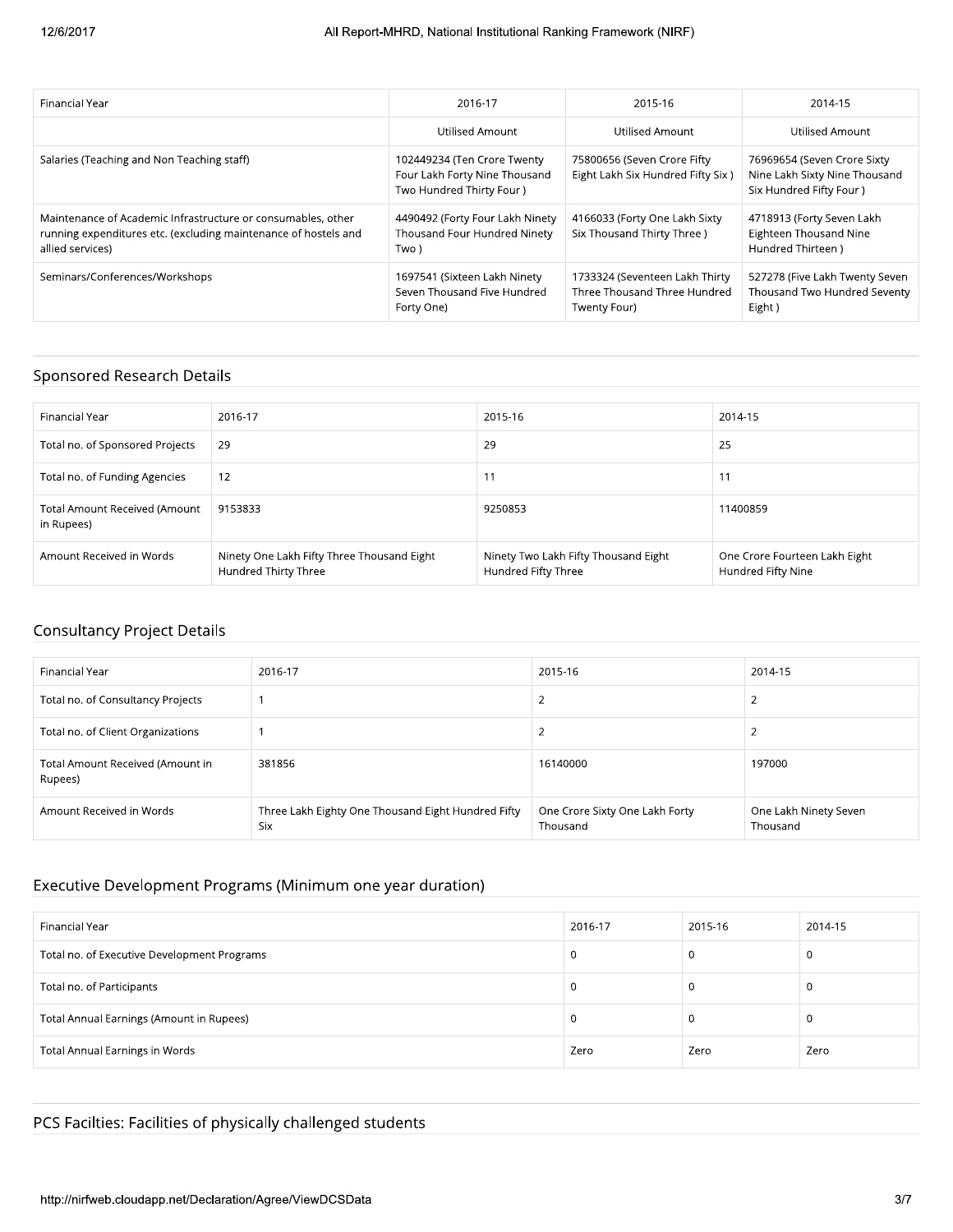| Financial Year                                                                                                                                      | 2016-17                                                                                   | 2015-16                                                                        | 2014-15                                                                                  |
|-----------------------------------------------------------------------------------------------------------------------------------------------------|-------------------------------------------------------------------------------------------|--------------------------------------------------------------------------------|------------------------------------------------------------------------------------------|
|                                                                                                                                                     | Utilised Amount                                                                           | Utilised Amount                                                                | Utilised Amount                                                                          |
| Salaries (Teaching and Non Teaching staff)                                                                                                          | 102449234 (Ten Crore Twenty<br>Four Lakh Forty Nine Thousand<br>Two Hundred Thirty Four ) | 75800656 (Seven Crore Fifty<br>Eight Lakh Six Hundred Fifty Six)               | 76969654 (Seven Crore Sixty<br>Nine Lakh Sixty Nine Thousand<br>Six Hundred Fifty Four ) |
| Maintenance of Academic Infrastructure or consumables, other<br>running expenditures etc. (excluding maintenance of hostels and<br>allied services) | 4490492 (Forty Four Lakh Ninety<br>Thousand Four Hundred Ninety<br>Two )                  | 4166033 (Forty One Lakh Sixty<br>Six Thousand Thirty Three )                   | 4718913 (Forty Seven Lakh<br><b>Eighteen Thousand Nine</b><br>Hundred Thirteen)          |
| Seminars/Conferences/Workshops                                                                                                                      | 1697541 (Sixteen Lakh Ninety<br>Seven Thousand Five Hundred<br>Forty One)                 | 1733324 (Seventeen Lakh Thirty<br>Three Thousand Three Hundred<br>Twenty Four) | 527278 (Five Lakh Twenty Seven<br>Thousand Two Hundred Seventy<br>Eight)                 |

#### Sponsored Research Details

| Financial Year                              | 2016-17                                                            | 2015-16                                                     | 2014-15                                             |
|---------------------------------------------|--------------------------------------------------------------------|-------------------------------------------------------------|-----------------------------------------------------|
| Total no. of Sponsored Projects             | 29                                                                 | 29                                                          | 25                                                  |
| Total no. of Funding Agencies               | 12                                                                 | 11                                                          | 11                                                  |
| Total Amount Received (Amount<br>in Rupees) | 9153833                                                            | 9250853                                                     | 11400859                                            |
| Amount Received in Words                    | Ninety One Lakh Fifty Three Thousand Eight<br>Hundred Thirty Three | Ninety Two Lakh Fifty Thousand Eight<br>Hundred Fifty Three | One Crore Fourteen Lakh Eight<br>Hundred Fifty Nine |

## Consultancy Project Details

| Financial Year                              | 2016-17                                                   | 2015-16                                    | 2014-15                           |
|---------------------------------------------|-----------------------------------------------------------|--------------------------------------------|-----------------------------------|
| Total no. of Consultancy Projects           |                                                           | ∠                                          |                                   |
| Total no. of Client Organizations           |                                                           | ∠                                          |                                   |
| Total Amount Received (Amount in<br>Rupees) | 381856                                                    | 16140000                                   | 197000                            |
| Amount Received in Words                    | Three Lakh Eighty One Thousand Eight Hundred Fifty<br>Six | One Crore Sixty One Lakh Forty<br>Thousand | One Lakh Ninety Seven<br>Thousand |

## Executive Development Programs (Minimum one year duration)

| Financial Year                              | 2016-17 | 2015-16 | 2014-15 |
|---------------------------------------------|---------|---------|---------|
| Total no. of Executive Development Programs | 0       |         | U       |
| Total no. of Participants                   | U       |         |         |
| Total Annual Earnings (Amount in Rupees)    | -0      |         | л.      |
| <b>Total Annual Earnings in Words</b>       | Zero    | Zero    | Zero    |

# PCS Facilties: Facilities of phy:<br>http://nirfweb.cloudapp.net/Declarati cilties: Facilities of physically challer<br>-<br>-<br>fweb.cloudapp.net/Declaration/Agree/ViewD PCS Facilties: Facilities of physically challenged students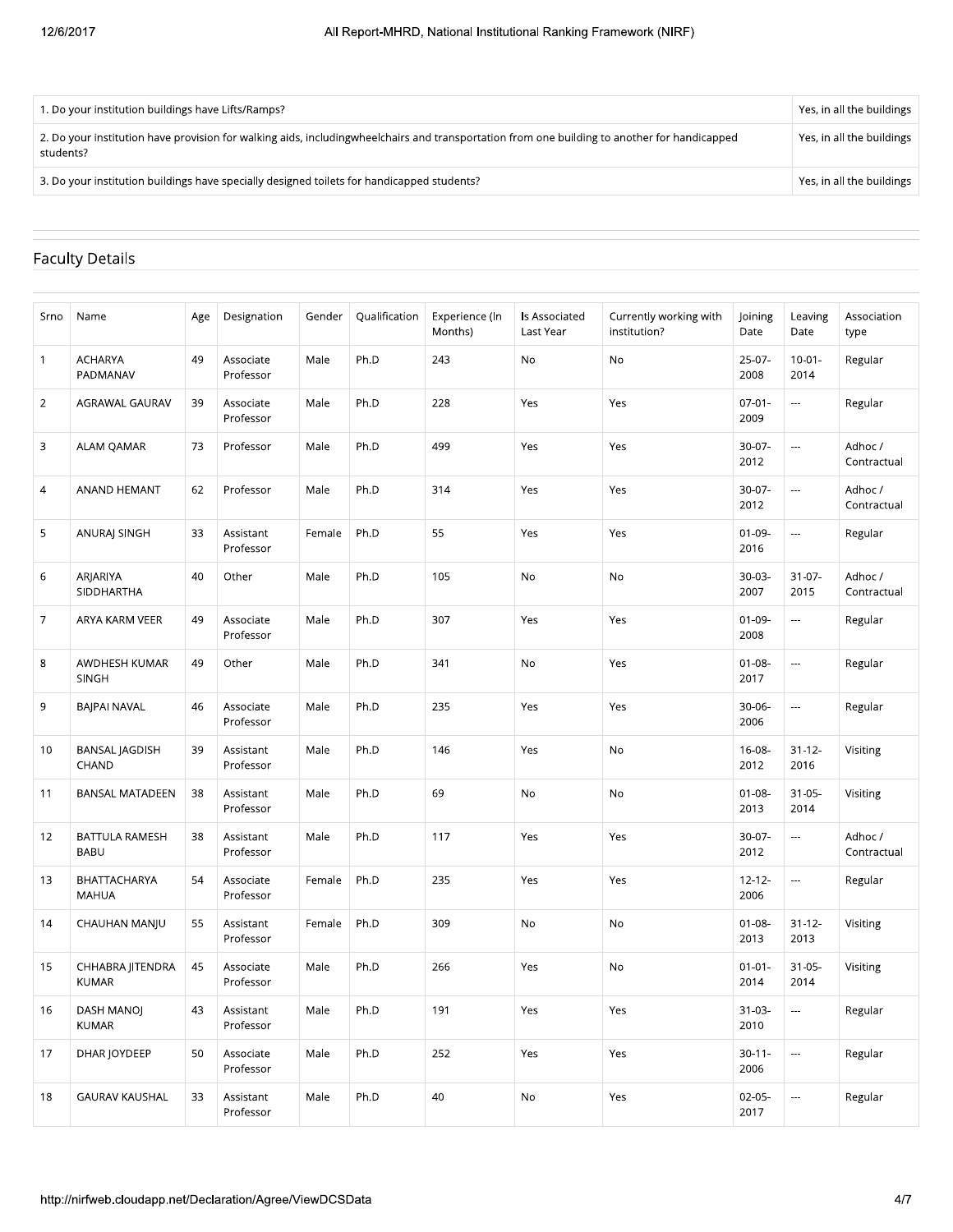| 1. Do your institution buildings have Lifts/Ramps?                                                                                                          | Yes, in all the buildings |
|-------------------------------------------------------------------------------------------------------------------------------------------------------------|---------------------------|
| 2. Do your institution have provision for walking aids, including wheel chairs and transportation from one building to another for handicapped<br>students? | Yes, in all the buildings |
| 3. Do your institution buildings have specially designed toilets for handicapped students?                                                                  | Yes, in all the buildings |

## Faculty Details

| Name<br><b>ACHARYA</b><br>PADMANAV<br>AGRAWAL GAURAV | Age<br>49<br>39 | Designation<br>Associate<br>Professor | Gender<br>Male | Qualification<br>Ph.D | Experience (In<br>Months)<br>243                          | Is Associated<br>Last Year<br>No | Currently working with<br>institution?<br>No | Joining<br>Date<br>$25-07-$ | Leaving<br>Date<br>$10 - 01 -$ | Association<br>type<br>Regular |
|------------------------------------------------------|-----------------|---------------------------------------|----------------|-----------------------|-----------------------------------------------------------|----------------------------------|----------------------------------------------|-----------------------------|--------------------------------|--------------------------------|
|                                                      |                 |                                       |                |                       |                                                           |                                  |                                              |                             |                                |                                |
|                                                      |                 |                                       |                |                       |                                                           |                                  |                                              | 2008                        | 2014                           |                                |
|                                                      |                 | Associate<br>Professor                | Male           | Ph.D                  | 228                                                       | Yes                              | Yes                                          | $07 - 01 -$<br>2009         | $\overline{\phantom{a}}$       | Regular                        |
| ALAM QAMAR                                           | 73              | Professor                             | Male           | Ph.D                  | 499                                                       | Yes                              | Yes                                          | $30-07-$<br>2012            | ---                            | Adhoc /<br>Contractual         |
| ANAND HEMANT                                         | 62              | Professor                             | Male           | Ph.D                  | 314                                                       | Yes                              | Yes                                          | $30-07-$<br>2012            | $\overline{a}$                 | Adhoc /<br>Contractual         |
| ANURAJ SINGH                                         | 33              | Assistant<br>Professor                | Female         | Ph.D                  | 55                                                        | Yes                              | Yes                                          | $01 - 09 -$<br>2016         | $\hspace{0.05cm}\ldots$        | Regular                        |
| ARJARIYA<br>SIDDHARTHA                               | 40              | Other                                 | Male           | Ph.D                  | 105                                                       | No                               | No                                           | $30-03-$<br>2007            | $31 - 07 -$<br>2015            | Adhoc /<br>Contractual         |
| ARYA KARM VEER                                       | 49              | Associate<br>Professor                | Male           | Ph.D                  | 307                                                       | Yes                              | Yes                                          | $01 - 09 -$<br>2008         | $\overline{\phantom{a}}$       | Regular                        |
| AWDHESH KUMAR<br><b>SINGH</b>                        | 49              | Other                                 | Male           | Ph.D                  | 341                                                       | No                               | Yes                                          | $01 - 08 -$<br>2017         | $\overline{\phantom{a}}$       | Regular                        |
| <b>BAJPAI NAVAL</b>                                  | 46              | Associate<br>Professor                | Male           | Ph.D                  | 235                                                       | Yes                              | Yes                                          | $30 - 06 -$<br>2006         | ---                            | Regular                        |
| <b>BANSAL JAGDISH</b><br>CHAND                       | 39              | Assistant<br>Professor                | Male           | Ph.D                  | 146                                                       | Yes                              | No                                           | 16-08-<br>2012              | $31 - 12 -$<br>2016            | Visiting                       |
| <b>BANSAL MATADEEN</b>                               | 38              | Assistant<br>Professor                | Male           | Ph.D                  | 69                                                        | $\mathsf{No}$                    | No                                           | $01 - 08 -$<br>2013         | $31 - 05 -$<br>2014            | Visiting                       |
| BATTULA RAMESH<br><b>BABU</b>                        | 38              | Assistant<br>Professor                | Male           | Ph.D                  | 117                                                       | Yes                              | Yes                                          | 30-07-<br>2012              | $\overline{\phantom{a}}$       | Adhoc /<br>Contractual         |
| BHATTACHARYA<br><b>MAHUA</b>                         | 54              | Associate<br>Professor                | Female         | Ph.D                  | 235                                                       | Yes                              | Yes                                          | $12 - 12 -$<br>2006         | $\overline{\phantom{a}}$       | Regular                        |
| CHAUHAN MANJU                                        | 55              | Assistant<br>Professor                | Female         | Ph.D                  | 309                                                       | No                               | No                                           | $01 - 08 -$<br>2013         | $31 - 12 -$<br>2013            | Visiting                       |
| CHHABRA JITENDRA<br><b>KUMAR</b>                     | 45              | Associate<br>Professor                | Male           | Ph.D                  | 266                                                       | Yes                              | No                                           | $01 - 01 -$<br>2014         | $31 - 05 -$<br>2014            | Visiting                       |
| DASH MANOJ<br><b>KUMAR</b>                           | 43              | Assistant<br>Professor                | Male           | Ph.D                  | 191                                                       | Yes                              | Yes                                          | $31 - 03 -$<br>2010         | $\overline{\phantom{a}}$       | Regular                        |
| DHAR JOYDEEP                                         | 50              | Associate<br>Professor                | Male           | Ph.D                  | 252                                                       | Yes                              | Yes                                          | $30 - 11 -$<br>2006         | ---                            | Regular                        |
| <b>GAURAV KAUSHAL</b>                                | 33              | Assistant<br>Professor                | Male           | Ph.D                  | 40                                                        | No                               | Yes                                          | $02 - 05 -$<br>2017         |                                | Regular                        |
|                                                      |                 |                                       |                |                       |                                                           |                                  |                                              |                             |                                |                                |
|                                                      |                 |                                       |                |                       |                                                           |                                  |                                              |                             |                                | 4/7                            |
|                                                      |                 |                                       |                |                       | http://nirfweb.cloudapp.net/Declaration/Agree/ViewDCSData |                                  |                                              |                             |                                |                                |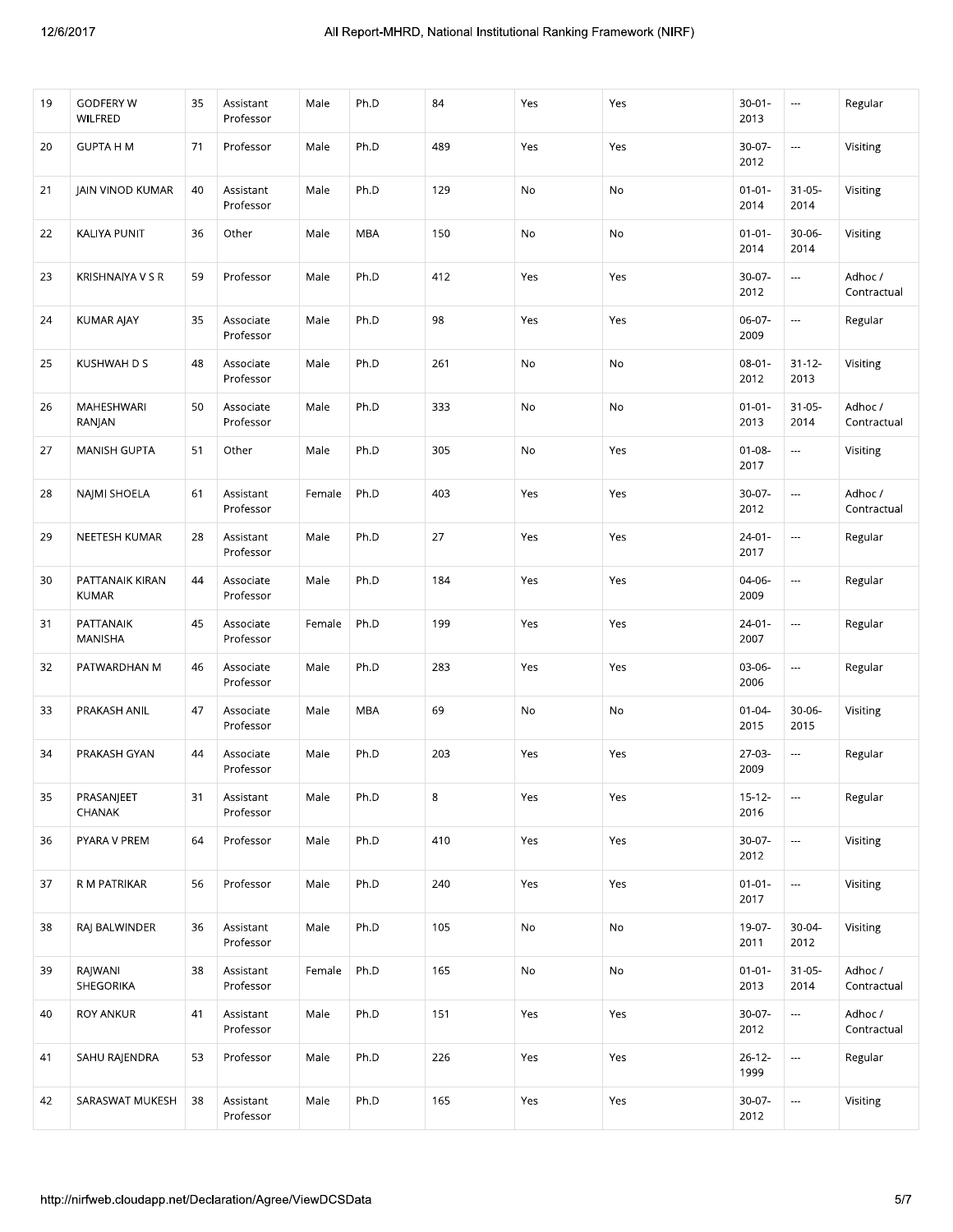| 19 | <b>GODFERY W</b><br>WILFRED | 35 | Assistant<br>Professor | Male   | Ph.D | 84  | Yes | Yes | $30 - 01 -$<br>2013 | $\overline{\phantom{a}}$ | Regular                |
|----|-----------------------------|----|------------------------|--------|------|-----|-----|-----|---------------------|--------------------------|------------------------|
| 20 | <b>GUPTA H M</b>            | 71 | Professor              | Male   | Ph.D | 489 | Yes | Yes | $30-07-$<br>2012    | $\overline{\phantom{a}}$ | Visiting               |
| 21 | JAIN VINOD KUMAR            | 40 | Assistant<br>Professor | Male   | Ph.D | 129 | No  | No  | $01 - 01 -$<br>2014 | $31 - 05 -$<br>2014      | Visiting               |
| 22 | KALIYA PUNIT                | 36 | Other                  | Male   | MBA  | 150 | No  | No  | $01 - 01 -$<br>2014 | 30-06-<br>2014           | Visiting               |
| 23 | KRISHNAIYA V S R            | 59 | Professor              | Male   | Ph.D | 412 | Yes | Yes | $30-07 -$<br>2012   |                          | Adhoc /<br>Contractual |
| 24 | <b>KUMAR AJAY</b>           | 35 | Associate<br>Professor | Male   | Ph.D | 98  | Yes | Yes | 06-07-<br>2009      | $\overline{a}$           | Regular                |
| 25 | KUSHWAH D S                 | 48 | Associate<br>Professor | Male   | Ph.D | 261 | No  | No  | $08 - 01 -$<br>2012 | $31 - 12 -$<br>2013      | Visiting               |
| 26 | MAHESHWARI<br>RANJAN        | 50 | Associate<br>Professor | Male   | Ph.D | 333 | No  | No  | $01 - 01 -$<br>2013 | $31 - 05 -$<br>2014      | Adhoc /<br>Contractual |
| 27 | <b>MANISH GUPTA</b>         | 51 | Other                  | Male   | Ph.D | 305 | No  | Yes | $01 - 08 -$<br>2017 | $\overline{\phantom{a}}$ | Visiting               |
| 28 | NAJMI SHOELA                | 61 | Assistant<br>Professor | Female | Ph.D | 403 | Yes | Yes | 30-07-<br>2012      | $\overline{\phantom{a}}$ | Adhoc /<br>Contractual |
| 29 | NEETESH KUMAR               | 28 | Assistant<br>Professor | Male   | Ph.D | 27  | Yes | Yes | $24 - 01 -$<br>2017 | ---                      | Regular                |
| 30 | PATTANAIK KIRAN<br>KUMAR    | 44 | Associate<br>Professor | Male   | Ph.D | 184 | Yes | Yes | 04-06-<br>2009      | ---                      | Regular                |
| 31 | PATTANAIK<br>MANISHA        | 45 | Associate<br>Professor | Female | Ph.D | 199 | Yes | Yes | $24 - 01 -$<br>2007 | $\overline{\phantom{a}}$ | Regular                |
| 32 | PATWARDHAN M                | 46 | Associate<br>Professor | Male   | Ph.D | 283 | Yes | Yes | 03-06-<br>2006      | $\overline{\phantom{a}}$ | Regular                |
| 33 | PRAKASH ANIL                | 47 | Associate<br>Professor | Male   | MBA  | 69  | No  | No  | $01 - 04 -$<br>2015 | 30-06-<br>2015           | Visiting               |
| 34 | PRAKASH GYAN                | 44 | Associate<br>Professor | Male   | Ph.D | 203 | Yes | Yes | 27-03-<br>2009      | ---                      | Regular                |
| 35 | PRASANJEET<br><b>CHANAK</b> | 31 | Assistant<br>Professor | Male   | Ph.D | 8   | Yes | Yes | $15-12-$<br>2016    |                          | Regular                |
| 36 | PYARA V PREM                | 64 | Professor              | Male   | Ph.D | 410 | Yes | Yes | 30-07-<br>2012      | ---                      | Visiting               |
| 37 | R M PATRIKAR                | 56 | Professor              | Male   | Ph.D | 240 | Yes | Yes | $01 - 01 -$<br>2017 | $\overline{\phantom{a}}$ | Visiting               |
| 38 | RAJ BALWINDER               | 36 | Assistant<br>Professor | Male   | Ph.D | 105 | No  | No  | 19-07-<br>2011      | $30-04-$<br>2012         | Visiting               |
| 39 | RAJWANI<br>SHEGORIKA        | 38 | Assistant<br>Professor | Female | Ph.D | 165 | No  | No  | $01 - 01 -$<br>2013 | $31 - 05 -$<br>2014      | Adhoc /<br>Contractual |
| 40 | <b>ROY ANKUR</b>            | 41 | Assistant<br>Professor | Male   | Ph.D | 151 | Yes | Yes | $30-07-$<br>2012    | Щ,                       | Adhoc /<br>Contractual |
| 41 | SAHU RAJENDRA               | 53 | Professor              | Male   | Ph.D | 226 | Yes | Yes | $26 - 12 -$<br>1999 | $\ldots$                 | Regular                |
| 42 | SARASWAT MUKESH             | 38 | Assistant<br>Professor | Male   | Ph.D | 165 | Yes | Yes | 30-07-<br>2012      | ---                      | Visiting               |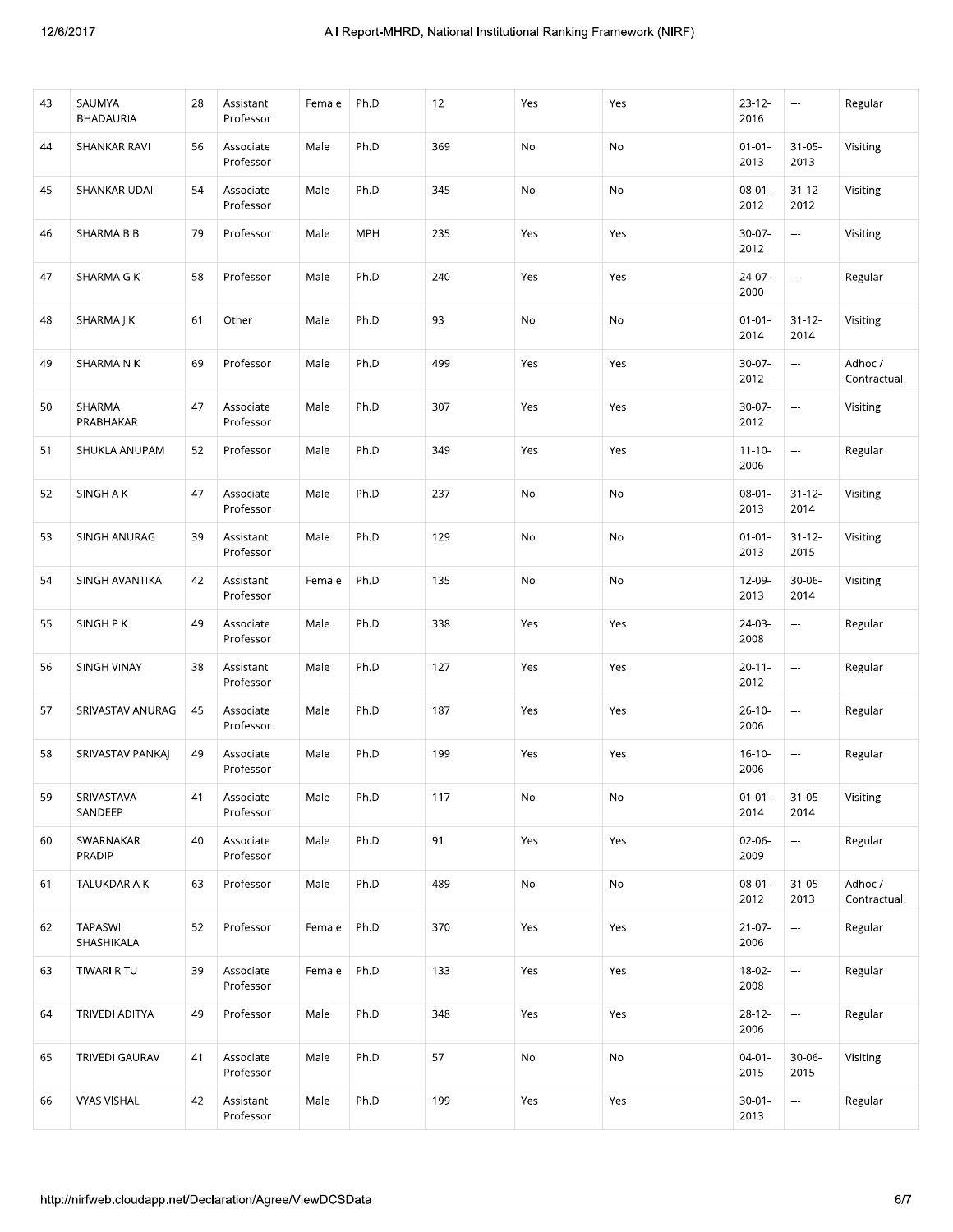|    | SAUMYA<br>BHADAURIA          | 28 | Assistant<br>Professor | Female | Ph.D       | 12  | Yes           | Yes           | $23 - 12 -$<br>2016 | $\scriptstyle\cdots$     | Regular                |
|----|------------------------------|----|------------------------|--------|------------|-----|---------------|---------------|---------------------|--------------------------|------------------------|
| 44 | SHANKAR RAVI                 | 56 | Associate<br>Professor | Male   | Ph.D       | 369 | No            | No            | $01 - 01 -$<br>2013 | $31 - 05 -$<br>2013      | Visiting               |
| 45 | SHANKAR UDAI                 | 54 | Associate<br>Professor | Male   | Ph.D       | 345 | $\mathsf{No}$ | No            | $08 - 01 -$<br>2012 | $31 - 12 -$<br>2012      | Visiting               |
| 46 | SHARMA B B                   | 79 | Professor              | Male   | <b>MPH</b> | 235 | Yes           | Yes           | 30-07-<br>2012      | $\overline{\phantom{a}}$ | Visiting               |
| 47 | <b>SHARMA G K</b>            | 58 | Professor              | Male   | Ph.D       | 240 | Yes           | Yes           | 24-07-<br>2000      | $\overline{\phantom{a}}$ | Regular                |
| 48 | SHARMAJK                     | 61 | Other                  | Male   | Ph.D       | 93  | $\mathsf{No}$ | No            | $01 - 01 -$<br>2014 | $31 - 12 -$<br>2014      | Visiting               |
| 49 | SHARMANK                     | 69 | Professor              | Male   | Ph.D       | 499 | Yes           | Yes           | $30-07 -$<br>2012   |                          | Adhoc /<br>Contractual |
| 50 | SHARMA<br>PRABHAKAR          | 47 | Associate<br>Professor | Male   | Ph.D       | 307 | Yes           | Yes           | 30-07-<br>2012      | $\overline{\phantom{a}}$ | Visiting               |
| 51 | SHUKLA ANUPAM                | 52 | Professor              | Male   | Ph.D       | 349 | Yes           | Yes           | $11 - 10 -$<br>2006 | $\overline{\phantom{a}}$ | Regular                |
| 52 | SINGH A K                    | 47 | Associate<br>Professor | Male   | Ph.D       | 237 | No            | No            | $08 - 01 -$<br>2013 | $31 - 12 -$<br>2014      | Visiting               |
| 53 | SINGH ANURAG                 | 39 | Assistant<br>Professor | Male   | Ph.D       | 129 | No            | No            | $01 - 01 -$<br>2013 | $31 - 12 -$<br>2015      | Visiting               |
| 54 | SINGH AVANTIKA               | 42 | Assistant<br>Professor | Female | Ph.D       | 135 | No            | No            | 12-09-<br>2013      | 30-06-<br>2014           | Visiting               |
| 55 | SINGH P K                    | 49 | Associate<br>Professor | Male   | Ph.D       | 338 | Yes           | Yes           | 24-03-<br>2008      | $\overline{\phantom{a}}$ | Regular                |
| 56 | SINGH VINAY                  | 38 | Assistant<br>Professor | Male   | Ph.D       | 127 | Yes           | Yes           | $20 - 11 -$<br>2012 |                          | Regular                |
| 57 | SRIVASTAV ANURAG             | 45 | Associate<br>Professor | Male   | Ph.D       | 187 | Yes           | Yes           | $26-10-$<br>2006    | $\overline{\phantom{a}}$ | Regular                |
| 58 | SRIVASTAV PANKAJ             | 49 | Associate<br>Professor | Male   | Ph.D       | 199 | Yes           | Yes           | $16-10-$<br>2006    | $\overline{\phantom{a}}$ | Regular                |
| 59 | SRIVASTAVA<br>SANDEEP        | 41 | Associate<br>Professor | Male   | Ph.D       | 117 | No            | $\mathsf{No}$ | $01 - 01 -$<br>2014 | $31 - 05 -$<br>2014      | Visiting               |
| 60 | SWARNAKAR<br>PRADIP          | 40 | Associate<br>Professor | Male   | Ph.D       | 91  | Yes           | Yes           | 02-06-<br>2009      | ---                      | Regular                |
| 61 | TALUKDAR A K                 | 63 | Professor              | Male   | Ph.D       | 489 | No            | No            | $08 - 01 -$<br>2012 | $31 - 05 -$<br>2013      | Adhoc /<br>Contractual |
| 62 | <b>TAPASWI</b><br>SHASHIKALA | 52 | Professor              | Female | Ph.D       | 370 | Yes           | Yes           | $21 - 07 -$<br>2006 | $\overline{\phantom{a}}$ | Regular                |
| 63 | TIWARI RITU                  | 39 | Associate<br>Professor | Female | Ph.D       | 133 | Yes           | Yes           | $18-02-$<br>2008    | $\overline{\phantom{a}}$ | Regular                |
| 64 | TRIVEDI ADITYA               | 49 | Professor              | Male   | Ph.D       | 348 | Yes           | Yes           | $28 - 12 -$<br>2006 |                          | Regular                |
|    | TRIVEDI GAURAV               | 41 | Associate<br>Professor | Male   | Ph.D       | 57  | $\mathsf{No}$ | No            | $04 - 01 -$<br>2015 | $30 - 06 -$<br>2015      | Visiting               |
| 65 |                              |    | Assistant              | Male   | Ph.D       | 199 | Yes           | Yes           | $30 - 01 -$<br>2013 | ---                      | Regular                |